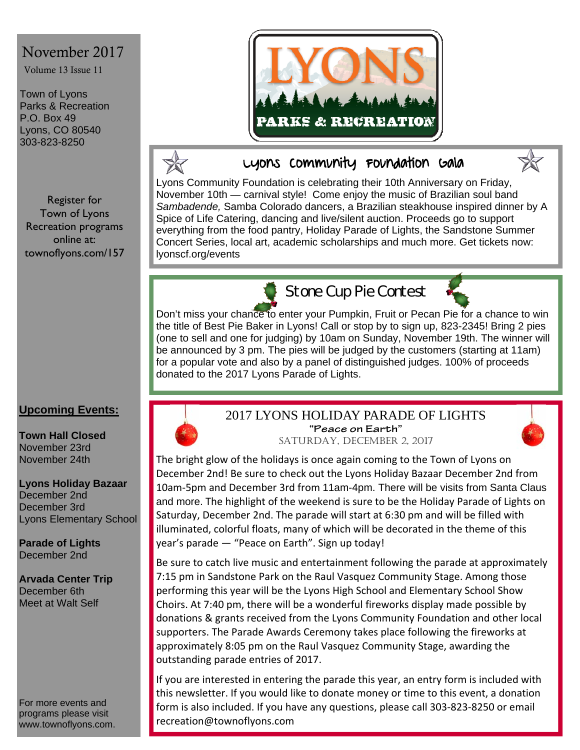# November 2017

Volume 13 Issue 11

Town of Lyons Parks & Recreation P.O. Box 49 Lyons, CO 80540 303-823-8250

Register for Town of Lyons Recreation programs online at: townoflyons.com/157

### **Upcoming Events:**

**Town Hall Closed**  November 23rd November 24th

**Lyons Holiday Bazaar**  December 2nd December 3rd Lyons Elementary School

**Parade of Lights**  December 2nd

**Arvada Center Trip**  December 6th Meet at Walt Self

For more events and programs please visit www.townoflyons.com.





## Lyons Community Foundation Gala



Lyons Community Foundation is celebrating their 10th Anniversary on Friday, November 10th — carnival style! Come enjoy the music of Brazilian soul band *Sambadende,* Samba Colorado dancers, a Brazilian steakhouse inspired dinner by A Spice of Life Catering, dancing and live/silent auction. Proceeds go to support everything from the food pantry, Holiday Parade of Lights, the Sandstone Summer Concert Series, local art, academic scholarships and much more. Get tickets now: lyonscf.org/events



**Stone Cup Pie Contest** 



Don't miss your chance to enter your Pumpkin, Fruit or Pecan Pie for a chance to win the title of Best Pie Baker in Lyons! Call or stop by to sign up, 823-2345! Bring 2 pies (one to sell and one for judging) by 10am on Sunday, November 19th. The winner will be announced by 3 pm. The pies will be judged by the customers (starting at 11am) for a popular vote and also by a panel of distinguished judges. 100% of proceeds donated to the 2017 Lyons Parade of Lights.



# 2017 LYONS HOLIDAY PARADE OF LIGHTS **"Peace on Earth"**



SATURDAY, DECEMBER 2, 2017

The bright glow of the holidays is once again coming to the Town of Lyons on December 2nd! Be sure to check out the Lyons Holiday Bazaar December 2nd from 10am‐5pm and December 3rd from 11am-4pm. There will be visits from Santa Claus and more. The highlight of the weekend is sure to be the Holiday Parade of Lights on Saturday, December 2nd. The parade will start at 6:30 pm and will be filled with illuminated, colorful floats, many of which will be decorated in the theme of this year's parade — "Peace on Earth". Sign up today!

Be sure to catch live music and entertainment following the parade at approximately 7:15 pm in Sandstone Park on the Raul Vasquez Community Stage. Among those performing this year will be the Lyons High School and Elementary School Show Choirs. At 7:40 pm, there will be a wonderful fireworks display made possible by donations & grants received from the Lyons Community Foundation and other local supporters. The Parade Awards Ceremony takes place following the fireworks at approximately 8:05 pm on the Raul Vasquez Community Stage, awarding the outstanding parade entries of 2017.

If you are interested in entering the parade this year, an entry form is included with this newsletter. If you would like to donate money or time to this event, a donation form is also included. If you have any questions, please call 303‐823‐8250 or email recreation@townoflyons.com